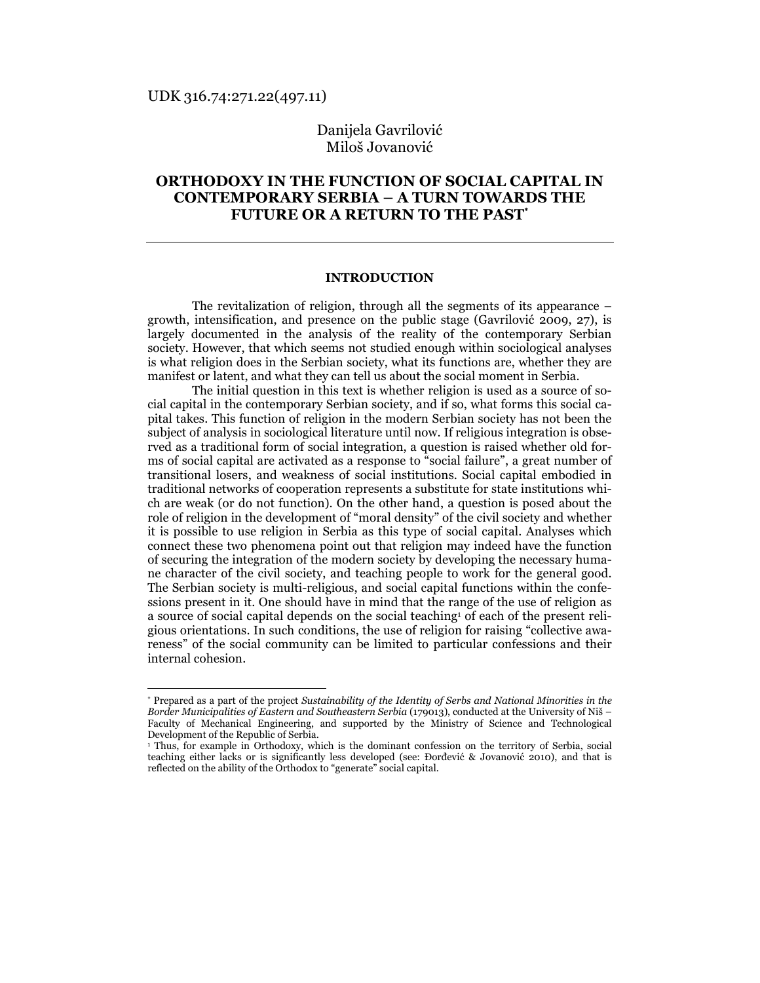l

# Danijela Gavrilović Miloš Jovanović

# ORTHODOXY IN THE FUNCTION OF SOCIAL CAPITAL IN CONTEMPORARY SERBIA – A TURN TOWARDS THE FUTURE OR A RETURN TO THE PAST<sup>\*</sup>

### INTRODUCTION

The revitalization of religion, through all the segments of its appearance – growth, intensification, and presence on the public stage (Gavrilović 2009, 27), is largely documented in the analysis of the reality of the contemporary Serbian society. However, that which seems not studied enough within sociological analyses is what religion does in the Serbian society, what its functions are, whether they are manifest or latent, and what they can tell us about the social moment in Serbia.

The initial question in this text is whether religion is used as a source of social capital in the contemporary Serbian society, and if so, what forms this social capital takes. This function of religion in the modern Serbian society has not been the subject of analysis in sociological literature until now. If religious integration is observed as a traditional form of social integration, a question is raised whether old forms of social capital are activated as a response to "social failure", a great number of transitional losers, and weakness of social institutions. Social capital embodied in traditional networks of cooperation represents a substitute for state institutions which are weak (or do not function). On the other hand, a question is posed about the role of religion in the development of "moral density" of the civil society and whether it is possible to use religion in Serbia as this type of social capital. Analyses which connect these two phenomena point out that religion may indeed have the function of securing the integration of the modern society by developing the necessary humane character of the civil society, and teaching people to work for the general good. The Serbian society is multi-religious, and social capital functions within the confessions present in it. One should have in mind that the range of the use of religion as a source of social capital depends on the social teaching<sup>1</sup> of each of the present religious orientations. In such conditions, the use of religion for raising "collective awareness" of the social community can be limited to particular confessions and their internal cohesion.

<sup>\*</sup> Prepared as a part of the project Sustainability of the Identity of Serbs and National Minorities in the Border Municipalities of Eastern and Southeastern Serbia (179013), conducted at the University of Niš – Faculty of Mechanical Engineering, and supported by the Ministry of Science and Technological Development of the Republic of Serbia.

<sup>1</sup> Thus, for example in Orthodoxy, which is the dominant confession on the territory of Serbia, social teaching either lacks or is significantly less developed (see: Đorđević & Jovanović 2010), and that is reflected on the ability of the Orthodox to "generate" social capital.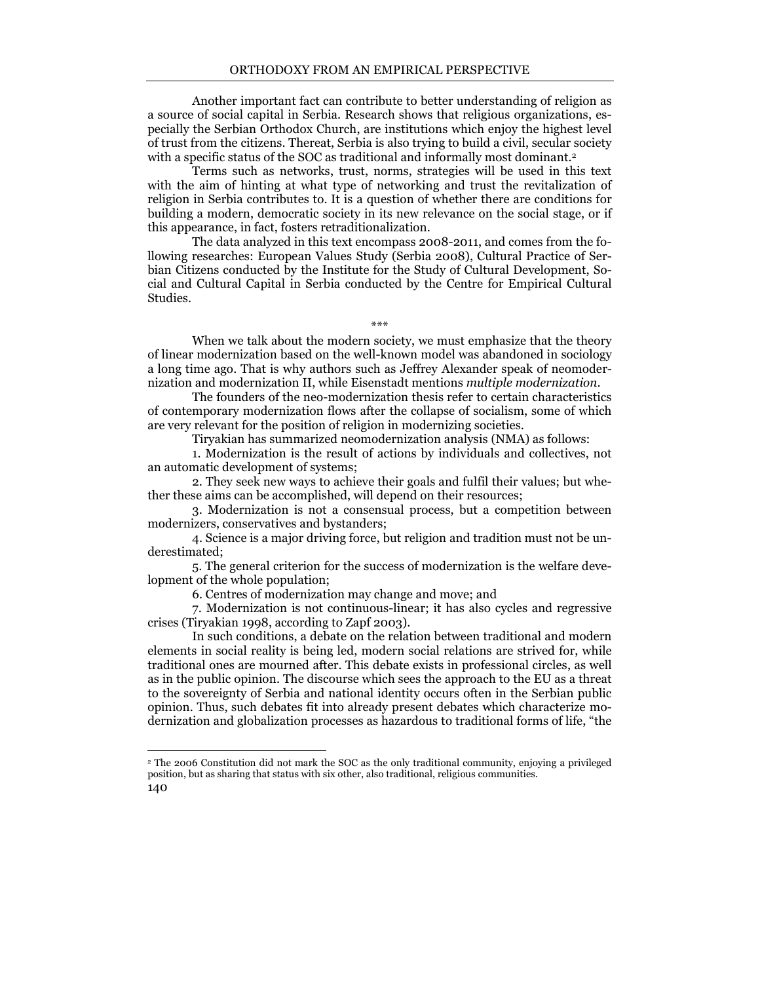Another important fact can contribute to better understanding of religion as a source of social capital in Serbia. Research shows that religious organizations, especially the Serbian Orthodox Church, are institutions which enjoy the highest level of trust from the citizens. Thereat, Serbia is also trying to build a civil, secular society with a specific status of the SOC as traditional and informally most dominant.<sup>2</sup>

Terms such as networks, trust, norms, strategies will be used in this text with the aim of hinting at what type of networking and trust the revitalization of religion in Serbia contributes to. It is a question of whether there are conditions for building a modern, democratic society in its new relevance on the social stage, or if this appearance, in fact, fosters retraditionalization.

The data analyzed in this text encompass 2008-2011, and comes from the following researches: European Values Study (Serbia 2008), Cultural Practice of Serbian Citizens conducted by the Institute for the Study of Cultural Development, Social and Cultural Capital in Serbia conducted by the Centre for Empirical Cultural Studies.

\*\*\*

When we talk about the modern society, we must emphasize that the theory of linear modernization based on the well-known model was abandoned in sociology a long time ago. That is why authors such as Jeffrey Alexander speak of neomodernization and modernization II, while Eisenstadt mentions multiple modernization.

The founders of the neo-modernization thesis refer to certain characteristics of contemporary modernization flows after the collapse of socialism, some of which are very relevant for the position of religion in modernizing societies.

Tiryakian has summarized neomodernization analysis (NMA) as follows:

1. Modernization is the result of actions by individuals and collectives, not an automatic development of systems;

2. They seek new ways to achieve their goals and fulfil their values; but whether these aims can be accomplished, will depend on their resources;

3. Modernization is not a consensual process, but a competition between modernizers, conservatives and bystanders;

4. Science is a major driving force, but religion and tradition must not be underestimated;

5. The general criterion for the success of modernization is the welfare development of the whole population;

6. Centres of modernization may change and move; and

l

7. Modernization is not continuous-linear; it has also cycles and regressive crises (Tiryakian 1998, according to Zapf 2003).

In such conditions, a debate on the relation between traditional and modern elements in social reality is being led, modern social relations are strived for, while traditional ones are mourned after. This debate exists in professional circles, as well as in the public opinion. The discourse which sees the approach to the EU as a threat to the sovereignty of Serbia and national identity occurs often in the Serbian public opinion. Thus, such debates fit into already present debates which characterize modernization and globalization processes as hazardous to traditional forms of life, "the

<sup>140</sup>  <sup>2</sup> The 2006 Constitution did not mark the SOC as the only traditional community, enjoying a privileged position, but as sharing that status with six other, also traditional, religious communities.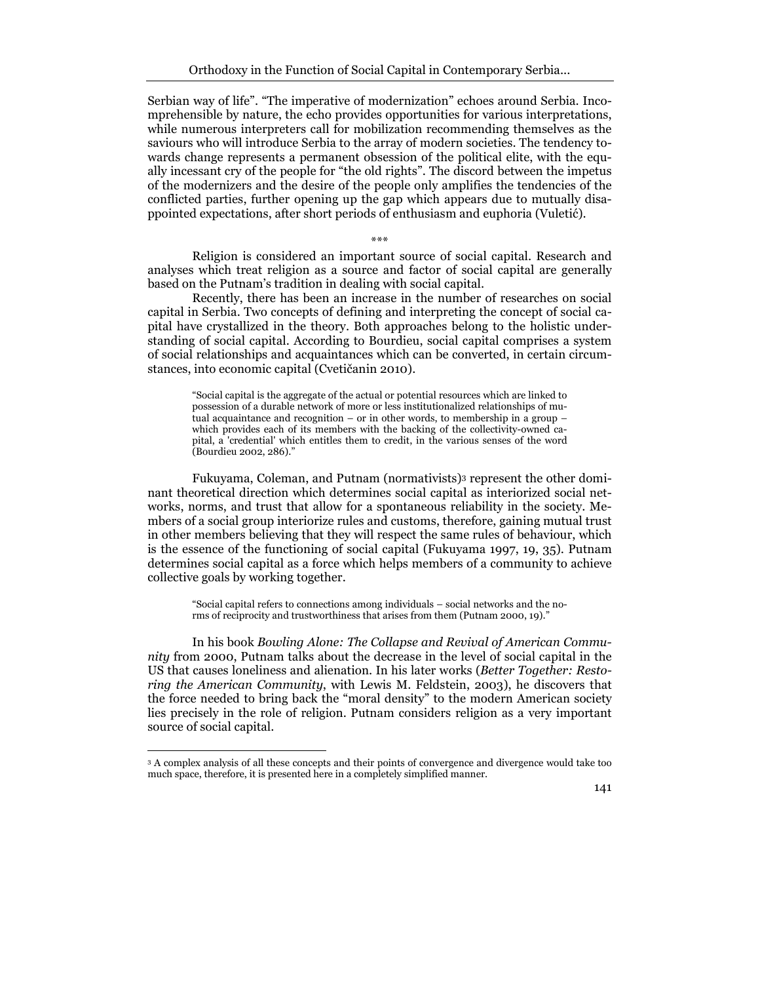Serbian way of life". "The imperative of modernization" echoes around Serbia. Incomprehensible by nature, the echo provides opportunities for various interpretations, while numerous interpreters call for mobilization recommending themselves as the saviours who will introduce Serbia to the array of modern societies. The tendency towards change represents a permanent obsession of the political elite, with the equally incessant cry of the people for "the old rights". The discord between the impetus of the modernizers and the desire of the people only amplifies the tendencies of the conflicted parties, further opening up the gap which appears due to mutually disappointed expectations, after short periods of enthusiasm and euphoria (Vuletić).

Religion is considered an important source of social capital. Research and analyses which treat religion as a source and factor of social capital are generally based on the Putnam's tradition in dealing with social capital.

\*\*\*

Recently, there has been an increase in the number of researches on social capital in Serbia. Two concepts of defining and interpreting the concept of social capital have crystallized in the theory. Both approaches belong to the holistic understanding of social capital. According to Bourdieu, social capital comprises a system of social relationships and acquaintances which can be converted, in certain circumstances, into economic capital (Cvetičanin 2010).

"Social capital is the aggregate of the actual or potential resources which are linked to possession of a durable network of more or less institutionalized relationships of mutual acquaintance and recognition – or in other words, to membership in a group – which provides each of its members with the backing of the collectivity-owned capital, a 'credential' which entitles them to credit, in the various senses of the word (Bourdieu 2002, 286)."

Fukuyama, Coleman, and Putnam (normativists)3 represent the other dominant theoretical direction which determines social capital as interiorized social networks, norms, and trust that allow for a spontaneous reliability in the society. Members of a social group interiorize rules and customs, therefore, gaining mutual trust in other members believing that they will respect the same rules of behaviour, which is the essence of the functioning of social capital (Fukuyama 1997, 19, 35). Putnam determines social capital as a force which helps members of a community to achieve collective goals by working together.

"Social capital refers to connections among individuals – social networks and the norms of reciprocity and trustworthiness that arises from them (Putnam 2000, 19)."

In his book Bowling Alone: The Collapse and Revival of American Community from 2000, Putnam talks about the decrease in the level of social capital in the US that causes loneliness and alienation. In his later works (Better Together: Restoring the American Community, with Lewis M. Feldstein, 2003), he discovers that the force needed to bring back the "moral density" to the modern American society lies precisely in the role of religion. Putnam considers religion as a very important source of social capital.

l

<sup>3</sup> A complex analysis of all these concepts and their points of convergence and divergence would take too much space, therefore, it is presented here in a completely simplified manner.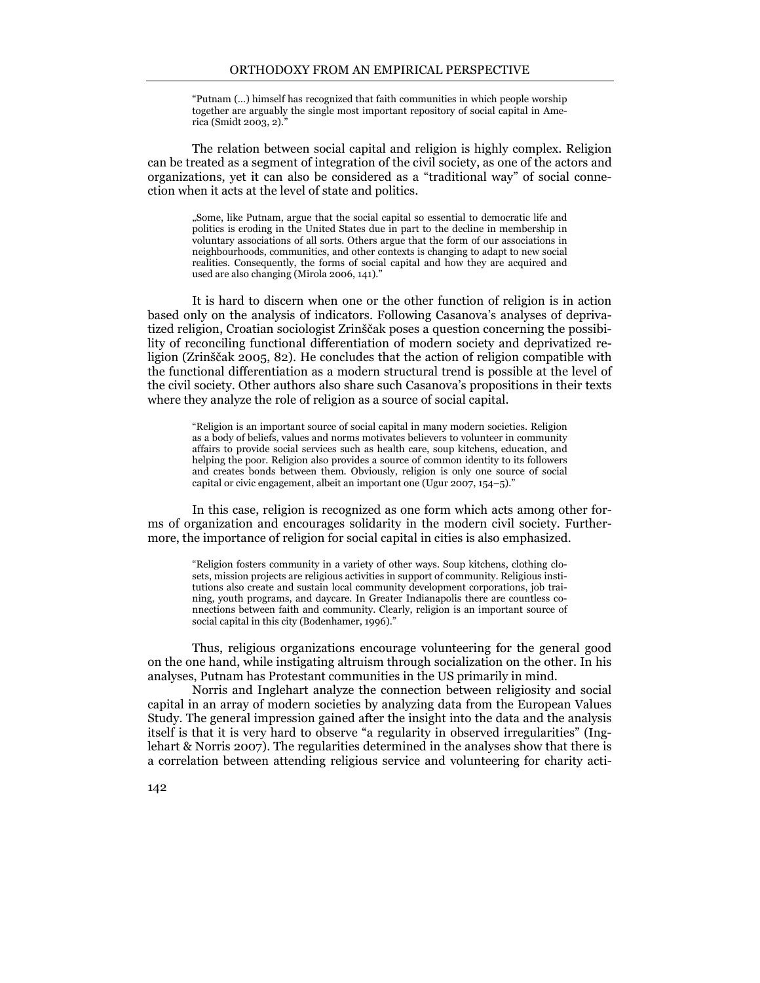"Putnam (…) himself has recognized that faith communities in which people worship together are arguably the single most important repository of social capital in America (Smidt 2003, 2)."

The relation between social capital and religion is highly complex. Religion can be treated as a segment of integration of the civil society, as one of the actors and organizations, yet it can also be considered as a "traditional way" of social connection when it acts at the level of state and politics.

"Some, like Putnam, argue that the social capital so essential to democratic life and politics is eroding in the United States due in part to the decline in membership in voluntary associations of all sorts. Others argue that the form of our associations in neighbourhoods, communities, and other contexts is changing to adapt to new social realities. Consequently, the forms of social capital and how they are acquired and used are also changing (Mirola 2006, 141)."

It is hard to discern when one or the other function of religion is in action based only on the analysis of indicators. Following Casanova's analyses of deprivatized religion, Croatian sociologist Zrinščak poses a question concerning the possibility of reconciling functional differentiation of modern society and deprivatized religion (Zrinščak 2005, 82). He concludes that the action of religion compatible with the functional differentiation as a modern structural trend is possible at the level of the civil society. Other authors also share such Casanova's propositions in their texts where they analyze the role of religion as a source of social capital.

"Religion is an important source of social capital in many modern societies. Religion as a body of beliefs, values and norms motivates believers to volunteer in community affairs to provide social services such as health care, soup kitchens, education, and helping the poor. Religion also provides a source of common identity to its followers and creates bonds between them. Obviously, religion is only one source of social capital or civic engagement, albeit an important one (Ugur 2007, 154–5)."

In this case, religion is recognized as one form which acts among other forms of organization and encourages solidarity in the modern civil society. Furthermore, the importance of religion for social capital in cities is also emphasized.

"Religion fosters community in a variety of other ways. Soup kitchens, clothing closets, mission projects are religious activities in support of community. Religious institutions also create and sustain local community development corporations, job training, youth programs, and daycare. In Greater Indianapolis there are countless connections between faith and community. Clearly, religion is an important source of social capital in this city (Bodenhamer, 1996)."

Thus, religious organizations encourage volunteering for the general good on the one hand, while instigating altruism through socialization on the other. In his analyses, Putnam has Protestant communities in the US primarily in mind.

Norris and Inglehart analyze the connection between religiosity and social capital in an array of modern societies by analyzing data from the European Values Study. The general impression gained after the insight into the data and the analysis itself is that it is very hard to observe "a regularity in observed irregularities" (Inglehart & Norris 2007). The regularities determined in the analyses show that there is a correlation between attending religious service and volunteering for charity acti-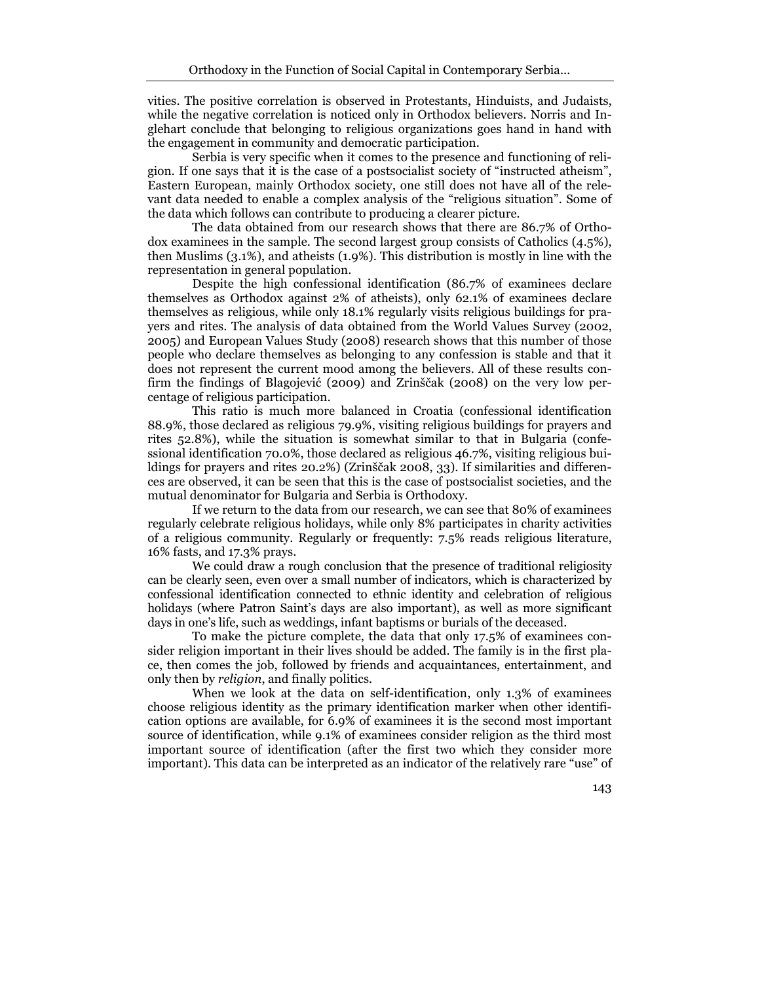vities. The positive correlation is observed in Protestants, Hinduists, and Judaists, while the negative correlation is noticed only in Orthodox believers. Norris and Inglehart conclude that belonging to religious organizations goes hand in hand with the engagement in community and democratic participation.

Serbia is very specific when it comes to the presence and functioning of religion. If one says that it is the case of a postsocialist society of "instructed atheism", Eastern European, mainly Orthodox society, one still does not have all of the relevant data needed to enable a complex analysis of the "religious situation". Some of the data which follows can contribute to producing a clearer picture.

The data obtained from our research shows that there are 86.7% of Orthodox examinees in the sample. The second largest group consists of Catholics (4.5%), then Muslims (3.1%), and atheists (1.9%). This distribution is mostly in line with the representation in general population.

Despite the high confessional identification (86.7% of examinees declare themselves as Orthodox against 2% of atheists), only 62.1% of examinees declare themselves as religious, while only 18.1% regularly visits religious buildings for prayers and rites. The analysis of data obtained from the World Values Survey (2002, 2005) and European Values Study (2008) research shows that this number of those people who declare themselves as belonging to any confession is stable and that it does not represent the current mood among the believers. All of these results confirm the findings of Blagojević (2009) and Zrinščak (2008) on the very low percentage of religious participation.

This ratio is much more balanced in Croatia (confessional identification 88.9%, those declared as religious 79.9%, visiting religious buildings for prayers and rites 52.8%), while the situation is somewhat similar to that in Bulgaria (confessional identification 70.0%, those declared as religious 46.7%, visiting religious buildings for prayers and rites 20.2%) (Zrinščak 2008, 33). If similarities and differences are observed, it can be seen that this is the case of postsocialist societies, and the mutual denominator for Bulgaria and Serbia is Orthodoxy.

If we return to the data from our research, we can see that 80% of examinees regularly celebrate religious holidays, while only 8% participates in charity activities of a religious community. Regularly or frequently: 7.5% reads religious literature, 16% fasts, and 17.3% prays.

We could draw a rough conclusion that the presence of traditional religiosity can be clearly seen, even over a small number of indicators, which is characterized by confessional identification connected to ethnic identity and celebration of religious holidays (where Patron Saint's days are also important), as well as more significant days in one's life, such as weddings, infant baptisms or burials of the deceased.

To make the picture complete, the data that only 17.5% of examinees consider religion important in their lives should be added. The family is in the first place, then comes the job, followed by friends and acquaintances, entertainment, and only then by religion, and finally politics.

When we look at the data on self-identification, only 1.3% of examinees choose religious identity as the primary identification marker when other identification options are available, for 6.9% of examinees it is the second most important source of identification, while 9.1% of examinees consider religion as the third most important source of identification (after the first two which they consider more important). This data can be interpreted as an indicator of the relatively rare "use" of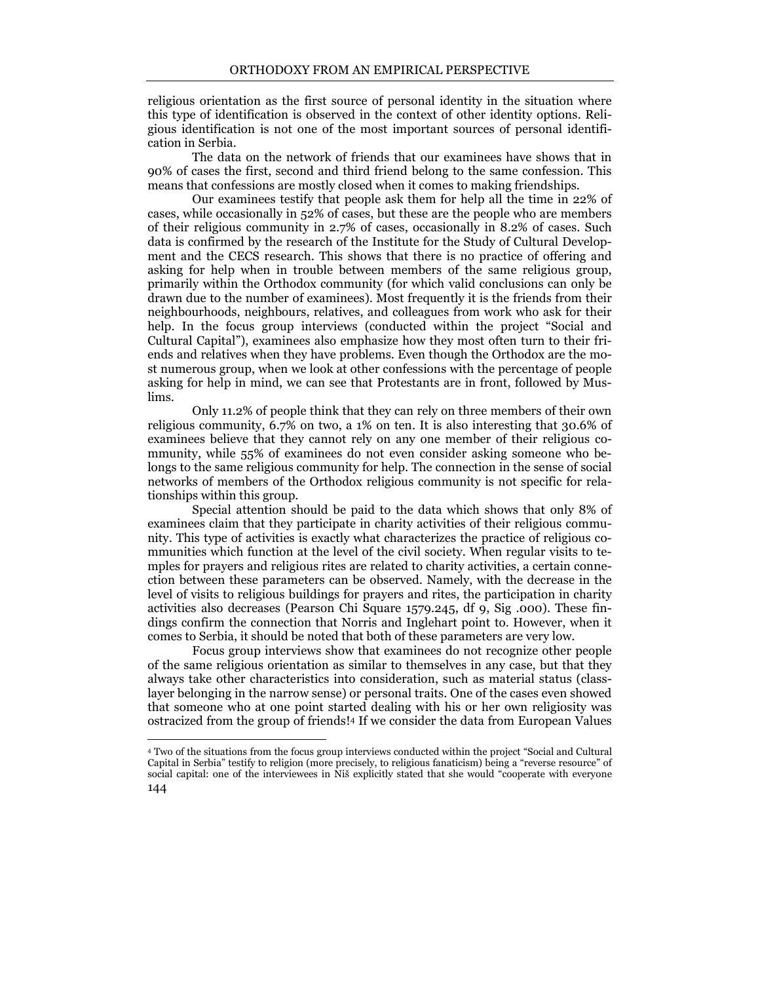religious orientation as the first source of personal identity in the situation where this type of identification is observed in the context of other identity options. Religious identification is not one of the most important sources of personal identification in Serbia.

The data on the network of friends that our examinees have shows that in 90% of cases the first, second and third friend belong to the same confession. This means that confessions are mostly closed when it comes to making friendships.

Our examinees testify that people ask them for help all the time in 22% of cases, while occasionally in 52% of cases, but these are the people who are members of their religious community in 2.7% of cases, occasionally in 8.2% of cases. Such data is confirmed by the research of the Institute for the Study of Cultural Development and the CECS research. This shows that there is no practice of offering and asking for help when in trouble between members of the same religious group, primarily within the Orthodox community (for which valid conclusions can only be drawn due to the number of examinees). Most frequently it is the friends from their neighbourhoods, neighbours, relatives, and colleagues from work who ask for their help. In the focus group interviews (conducted within the project "Social and Cultural Capital"), examinees also emphasize how they most often turn to their friends and relatives when they have problems. Even though the Orthodox are the most numerous group, when we look at other confessions with the percentage of people asking for help in mind, we can see that Protestants are in front, followed by Muslims.

Only 11.2% of people think that they can rely on three members of their own religious community, 6.7% on two, a 1% on ten. It is also interesting that 30.6% of examinees believe that they cannot rely on any one member of their religious community, while 55% of examinees do not even consider asking someone who belongs to the same religious community for help. The connection in the sense of social networks of members of the Orthodox religious community is not specific for relationships within this group.

Special attention should be paid to the data which shows that only 8% of examinees claim that they participate in charity activities of their religious community. This type of activities is exactly what characterizes the practice of religious communities which function at the level of the civil society. When regular visits to temples for prayers and religious rites are related to charity activities, a certain connection between these parameters can be observed. Namely, with the decrease in the level of visits to religious buildings for prayers and rites, the participation in charity activities also decreases (Pearson Chi Square 1579.245, df 9, Sig .000). These findings confirm the connection that Norris and Inglehart point to. However, when it comes to Serbia, it should be noted that both of these parameters are very low.

Focus group interviews show that examinees do not recognize other people of the same religious orientation as similar to themselves in any case, but that they always take other characteristics into consideration, such as material status (classlayer belonging in the narrow sense) or personal traits. One of the cases even showed that someone who at one point started dealing with his or her own religiosity was ostracized from the group of friends!4 If we consider the data from European Values

 $\overline{a}$ 

<sup>144</sup>  <sup>4</sup> Two of the situations from the focus group interviews conducted within the project "Social and Cultural Capital in Serbia" testify to religion (more precisely, to religious fanaticism) being a "reverse resource" of social capital: one of the interviewees in Niš explicitly stated that she would "cooperate with everyone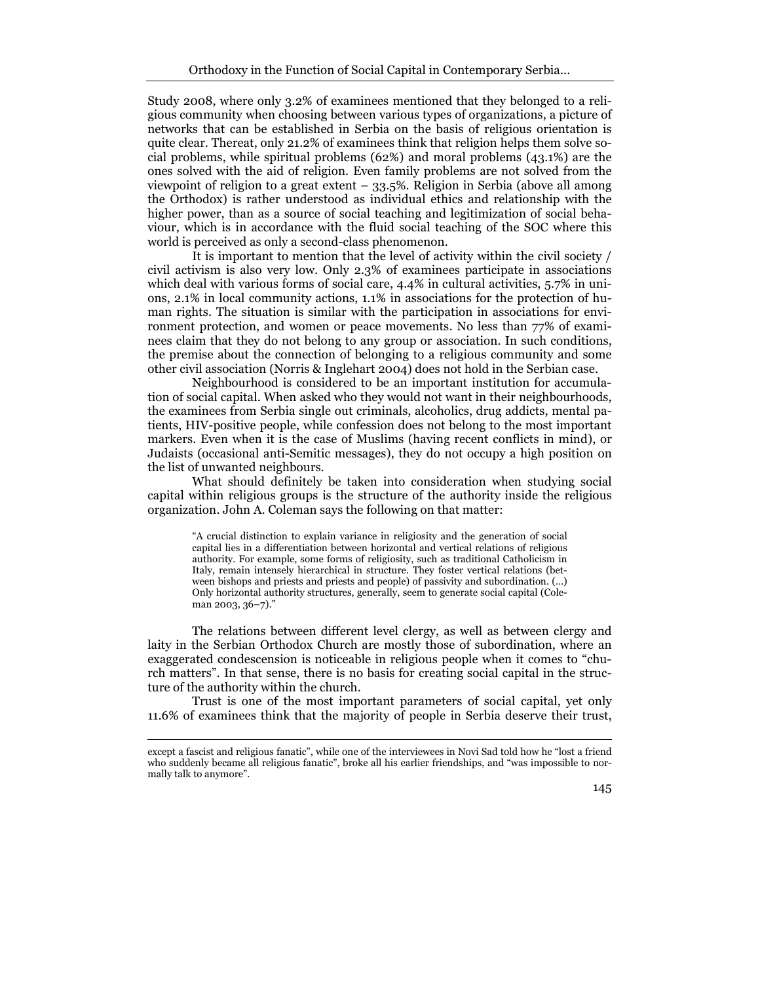Study 2008, where only 3.2% of examinees mentioned that they belonged to a religious community when choosing between various types of organizations, a picture of networks that can be established in Serbia on the basis of religious orientation is quite clear. Thereat, only 21.2% of examinees think that religion helps them solve social problems, while spiritual problems (62%) and moral problems (43.1%) are the ones solved with the aid of religion. Even family problems are not solved from the viewpoint of religion to a great extent – 33.5%. Religion in Serbia (above all among the Orthodox) is rather understood as individual ethics and relationship with the higher power, than as a source of social teaching and legitimization of social behaviour, which is in accordance with the fluid social teaching of the SOC where this world is perceived as only a second-class phenomenon.

It is important to mention that the level of activity within the civil society / civil activism is also very low. Only 2.3% of examinees participate in associations which deal with various forms of social care, 4.4% in cultural activities, 5.7% in unions, 2.1% in local community actions, 1.1% in associations for the protection of human rights. The situation is similar with the participation in associations for environment protection, and women or peace movements. No less than 77% of examinees claim that they do not belong to any group or association. In such conditions, the premise about the connection of belonging to a religious community and some other civil association (Norris & Inglehart 2004) does not hold in the Serbian case.

Neighbourhood is considered to be an important institution for accumulation of social capital. When asked who they would not want in their neighbourhoods, the examinees from Serbia single out criminals, alcoholics, drug addicts, mental patients, HIV-positive people, while confession does not belong to the most important markers. Even when it is the case of Muslims (having recent conflicts in mind), or Judaists (occasional anti-Semitic messages), they do not occupy a high position on the list of unwanted neighbours.

What should definitely be taken into consideration when studying social capital within religious groups is the structure of the authority inside the religious organization. John A. Coleman says the following on that matter:

"A crucial distinction to explain variance in religiosity and the generation of social capital lies in a differentiation between horizontal and vertical relations of religious authority. For example, some forms of religiosity, such as traditional Catholicism in Italy, remain intensely hierarchical in structure. They foster vertical relations (between bishops and priests and priests and people) of passivity and subordination. (…) Only horizontal authority structures, generally, seem to generate social capital (Coleman 2003, 36–7)."

The relations between different level clergy, as well as between clergy and laity in the Serbian Orthodox Church are mostly those of subordination, where an exaggerated condescension is noticeable in religious people when it comes to "church matters". In that sense, there is no basis for creating social capital in the structure of the authority within the church.

Trust is one of the most important parameters of social capital, yet only 11.6% of examinees think that the majority of people in Serbia deserve their trust,

 $\overline{a}$ 

except a fascist and religious fanatic", while one of the interviewees in Novi Sad told how he "lost a friend who suddenly became all religious fanatic", broke all his earlier friendships, and "was impossible to normally talk to anymore".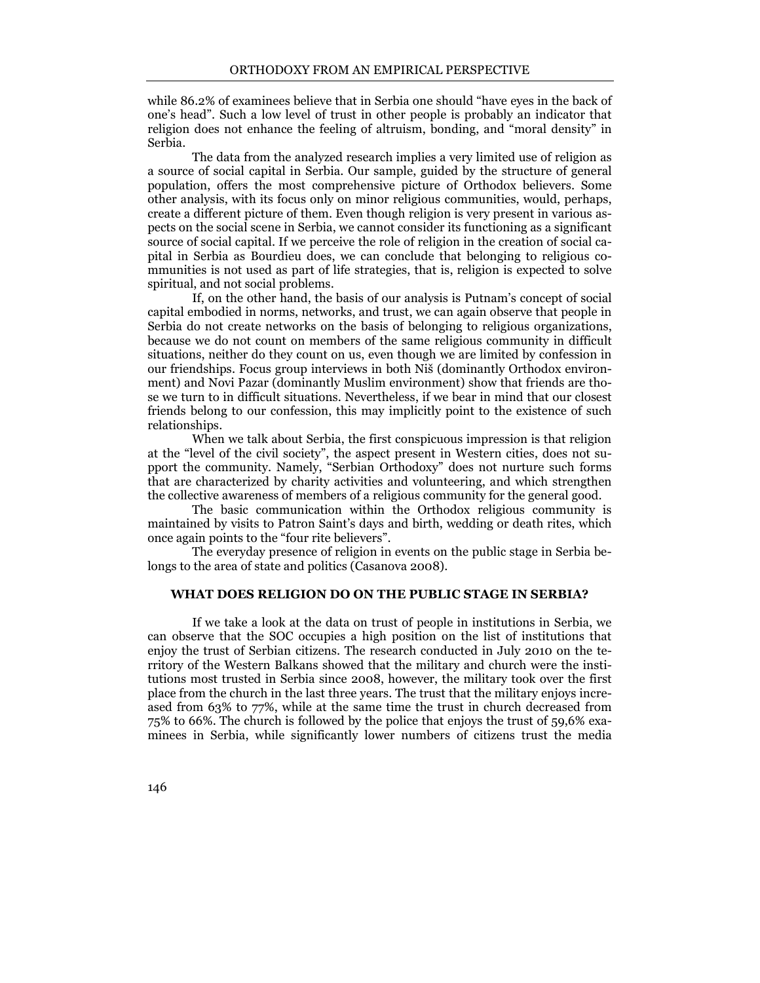while 86.2% of examinees believe that in Serbia one should "have eyes in the back of one's head". Such a low level of trust in other people is probably an indicator that religion does not enhance the feeling of altruism, bonding, and "moral density" in Serbia.

The data from the analyzed research implies a very limited use of religion as a source of social capital in Serbia. Our sample, guided by the structure of general population, offers the most comprehensive picture of Orthodox believers. Some other analysis, with its focus only on minor religious communities, would, perhaps, create a different picture of them. Even though religion is very present in various aspects on the social scene in Serbia, we cannot consider its functioning as a significant source of social capital. If we perceive the role of religion in the creation of social capital in Serbia as Bourdieu does, we can conclude that belonging to religious communities is not used as part of life strategies, that is, religion is expected to solve spiritual, and not social problems.

If, on the other hand, the basis of our analysis is Putnam's concept of social capital embodied in norms, networks, and trust, we can again observe that people in Serbia do not create networks on the basis of belonging to religious organizations, because we do not count on members of the same religious community in difficult situations, neither do they count on us, even though we are limited by confession in our friendships. Focus group interviews in both Niš (dominantly Orthodox environment) and Novi Pazar (dominantly Muslim environment) show that friends are those we turn to in difficult situations. Nevertheless, if we bear in mind that our closest friends belong to our confession, this may implicitly point to the existence of such relationships.

When we talk about Serbia, the first conspicuous impression is that religion at the "level of the civil society", the aspect present in Western cities, does not support the community. Namely, "Serbian Orthodoxy" does not nurture such forms that are characterized by charity activities and volunteering, and which strengthen the collective awareness of members of a religious community for the general good.

The basic communication within the Orthodox religious community is maintained by visits to Patron Saint's days and birth, wedding or death rites, which once again points to the "four rite believers".

The everyday presence of religion in events on the public stage in Serbia belongs to the area of state and politics (Casanova 2008).

## WHAT DOES RELIGION DO ON THE PUBLIC STAGE IN SERBIA?

If we take a look at the data on trust of people in institutions in Serbia, we can observe that the SOC occupies a high position on the list of institutions that enjoy the trust of Serbian citizens. The research conducted in July 2010 on the territory of the Western Balkans showed that the military and church were the institutions most trusted in Serbia since 2008, however, the military took over the first place from the church in the last three years. The trust that the military enjoys increased from 63% to 77%, while at the same time the trust in church decreased from 75% to 66%. The church is followed by the police that enjoys the trust of 59,6% examinees in Serbia, while significantly lower numbers of citizens trust the media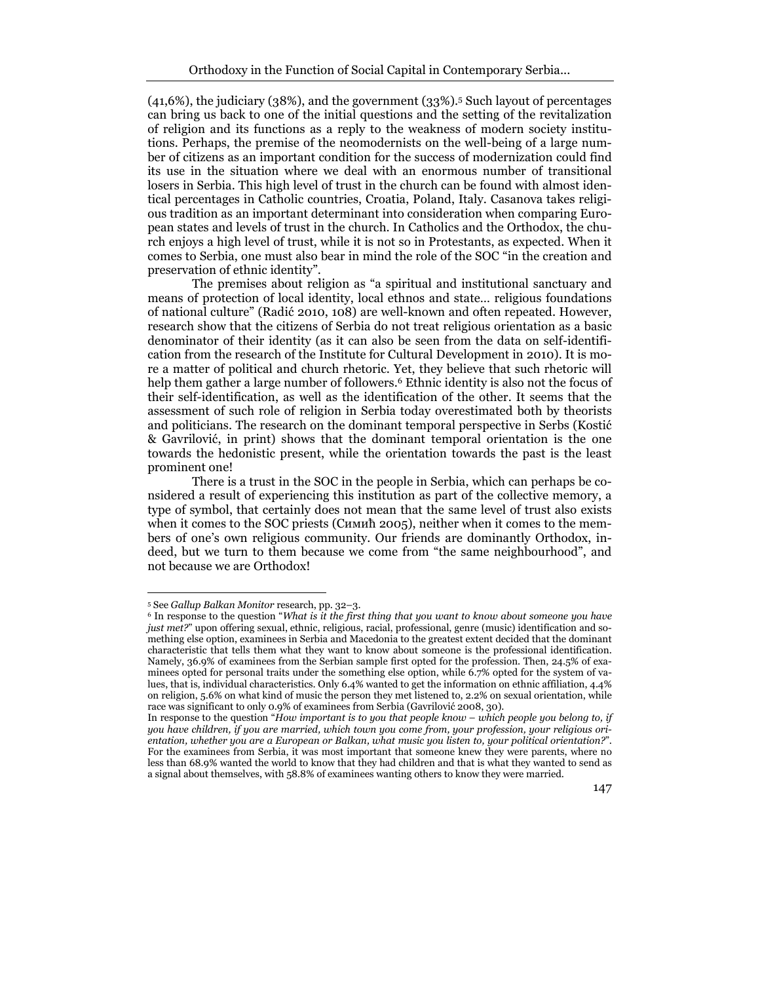(41,6%), the judiciary (38%), and the government (33%).5 Such layout of percentages can bring us back to one of the initial questions and the setting of the revitalization of religion and its functions as a reply to the weakness of modern society institutions. Perhaps, the premise of the neomodernists on the well-being of a large number of citizens as an important condition for the success of modernization could find its use in the situation where we deal with an enormous number of transitional losers in Serbia. This high level of trust in the church can be found with almost identical percentages in Catholic countries, Croatia, Poland, Italy. Casanova takes religious tradition as an important determinant into consideration when comparing European states and levels of trust in the church. In Catholics and the Orthodox, the church enjoys a high level of trust, while it is not so in Protestants, as expected. When it comes to Serbia, one must also bear in mind the role of the SOC "in the creation and preservation of ethnic identity".

The premises about religion as "a spiritual and institutional sanctuary and means of protection of local identity, local ethnos and state… religious foundations of national culture" (Radić 2010, 108) are well-known and often repeated. However, research show that the citizens of Serbia do not treat religious orientation as a basic denominator of their identity (as it can also be seen from the data on self-identification from the research of the Institute for Cultural Development in 2010). It is more a matter of political and church rhetoric. Yet, they believe that such rhetoric will help them gather a large number of followers.<sup>6</sup> Ethnic identity is also not the focus of their self-identification, as well as the identification of the other. It seems that the assessment of such role of religion in Serbia today overestimated both by theorists and politicians. The research on the dominant temporal perspective in Serbs (Kostić & Gavrilović, in print) shows that the dominant temporal orientation is the one towards the hedonistic present, while the orientation towards the past is the least prominent one!

There is a trust in the SOC in the people in Serbia, which can perhaps be considered a result of experiencing this institution as part of the collective memory, a type of symbol, that certainly does not mean that the same level of trust also exists when it comes to the SOC priests (Симић 2005), neither when it comes to the members of one's own religious community. Our friends are dominantly Orthodox, indeed, but we turn to them because we come from "the same neighbourhood", and not because we are Orthodox!

 $\overline{a}$ 

<sup>5</sup> See Gallup Balkan Monitor research, pp. 32–3.

<sup>&</sup>lt;sup>6</sup> In response to the question "What is it the first thing that you want to know about someone you have just met?" upon offering sexual, ethnic, religious, racial, professional, genre (music) identification and something else option, examinees in Serbia and Macedonia to the greatest extent decided that the dominant characteristic that tells them what they want to know about someone is the professional identification. Namely, 36.9% of examinees from the Serbian sample first opted for the profession. Then, 24.5% of examinees opted for personal traits under the something else option, while 6.7% opted for the system of values, that is, individual characteristics. Only 6.4% wanted to get the information on ethnic affiliation, 4.4% on religion, 5.6% on what kind of music the person they met listened to, 2.2% on sexual orientation, while race was significant to only 0.9% of examinees from Serbia (Gavrilović 2008, 30).

In response to the question "How important is to you that people know – which people you belong to, if you have children, if you are married, which town you come from, your profession, your religious orientation, whether you are a European or Balkan, what music you listen to, your political orientation?". For the examinees from Serbia, it was most important that someone knew they were parents, where no less than 68.9% wanted the world to know that they had children and that is what they wanted to send as a signal about themselves, with 58.8% of examinees wanting others to know they were married.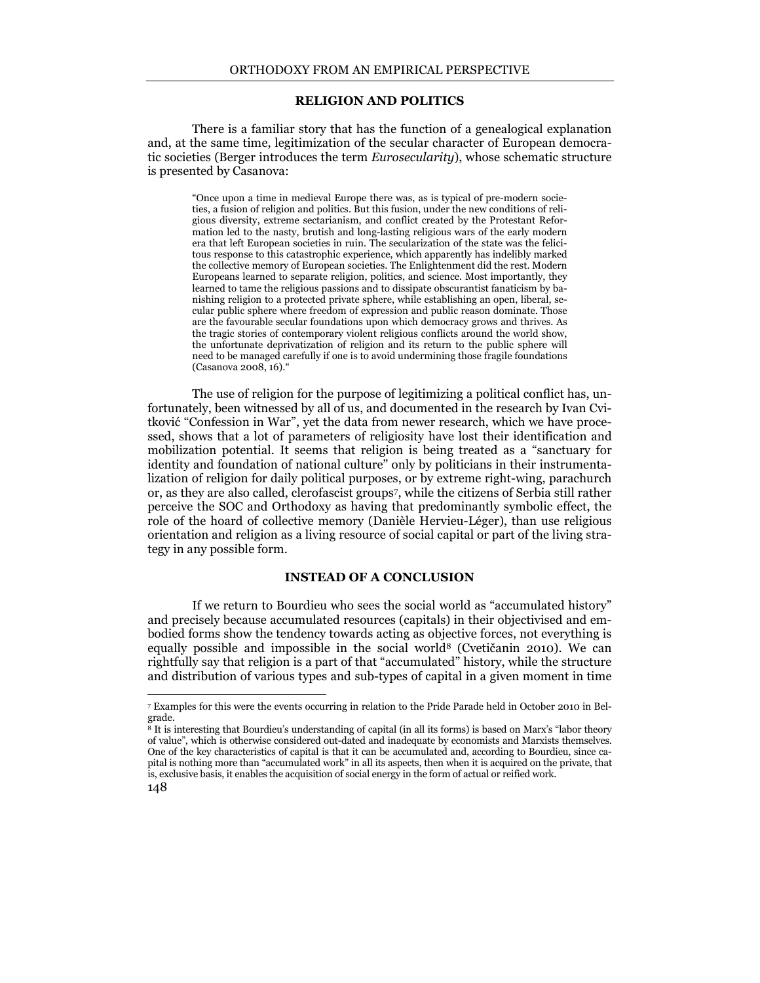#### RELIGION AND POLITICS

There is a familiar story that has the function of a genealogical explanation and, at the same time, legitimization of the secular character of European democratic societies (Berger introduces the term *Eurosecularity*), whose schematic structure is presented by Casanova:

"Once upon a time in medieval Europe there was, as is typical of pre-modern societies, a fusion of religion and politics. But this fusion, under the new conditions of religious diversity, extreme sectarianism, and conflict created by the Protestant Reformation led to the nasty, brutish and long-lasting religious wars of the early modern era that left European societies in ruin. The secularization of the state was the felicitous response to this catastrophic experience, which apparently has indelibly marked the collective memory of European societies. The Enlightenment did the rest. Modern Europeans learned to separate religion, politics, and science. Most importantly, they learned to tame the religious passions and to dissipate obscurantist fanaticism by banishing religion to a protected private sphere, while establishing an open, liberal, secular public sphere where freedom of expression and public reason dominate. Those are the favourable secular foundations upon which democracy grows and thrives. As the tragic stories of contemporary violent religious conflicts around the world show, the unfortunate deprivatization of religion and its return to the public sphere will need to be managed carefully if one is to avoid undermining those fragile foundations (Casanova 2008, 16)."

The use of religion for the purpose of legitimizing a political conflict has, unfortunately, been witnessed by all of us, and documented in the research by Ivan Cvitković "Confession in War", yet the data from newer research, which we have processed, shows that a lot of parameters of religiosity have lost their identification and mobilization potential. It seems that religion is being treated as a "sanctuary for identity and foundation of national culture" only by politicians in their instrumentalization of religion for daily political purposes, or by extreme right-wing, parachurch or, as they are also called, clerofascist groups<sup>7</sup> , while the citizens of Serbia still rather perceive the SOC and Orthodoxy as having that predominantly symbolic effect, the role of the hoard of collective memory (Danièle Hervieu-Léger), than use religious orientation and religion as a living resource of social capital or part of the living strategy in any possible form.

### INSTEAD OF A CONCLUSION

If we return to Bourdieu who sees the social world as "accumulated history" and precisely because accumulated resources (capitals) in their objectivised and embodied forms show the tendency towards acting as objective forces, not everything is equally possible and impossible in the social world8 (Cvetičanin 2010). We can rightfully say that religion is a part of that "accumulated" history, while the structure and distribution of various types and sub-types of capital in a given moment in time

 $\overline{a}$ 

<sup>7</sup> Examples for this were the events occurring in relation to the Pride Parade held in October 2010 in Belgrade.

<sup>148</sup>  <sup>8</sup> It is interesting that Bourdieu's understanding of capital (in all its forms) is based on Marx's "labor theory of value", which is otherwise considered out-dated and inadequate by economists and Marxists themselves. One of the key characteristics of capital is that it can be accumulated and, according to Bourdieu, since capital is nothing more than "accumulated work" in all its aspects, then when it is acquired on the private, that is, exclusive basis, it enables the acquisition of social energy in the form of actual or reified work.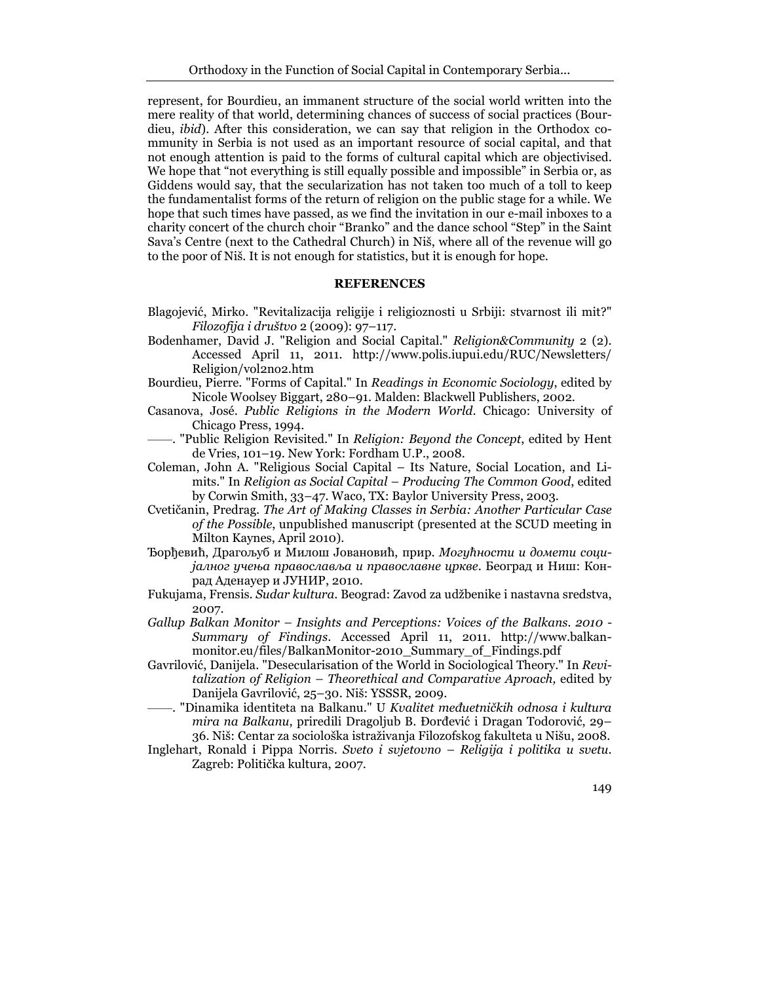represent, for Bourdieu, an immanent structure of the social world written into the mere reality of that world, determining chances of success of social practices (Bourdieu, ibid). After this consideration, we can say that religion in the Orthodox community in Serbia is not used as an important resource of social capital, and that not enough attention is paid to the forms of cultural capital which are objectivised. We hope that "not everything is still equally possible and impossible" in Serbia or, as Giddens would say, that the secularization has not taken too much of a toll to keep the fundamentalist forms of the return of religion on the public stage for a while. We hope that such times have passed, as we find the invitation in our e-mail inboxes to a charity concert of the church choir "Branko" and the dance school "Step" in the Saint Sava's Centre (next to the Cathedral Church) in Niš, where all of the revenue will go to the poor of Niš. It is not enough for statistics, but it is enough for hope.

### REFERENCES

- Blagojević, Mirko. "Revitalizacija religije i religioznosti u Srbiji: stvarnost ili mit?" Filozofija i društvo 2 (2009): 97–117.
- Bodenhamer, David J. "Religion and Social Capital." Religion&Community 2 (2). Accessed April 11, 2011. http://www.polis.iupui.edu/RUC/Newsletters/ Religion/vol2no2.htm
- Bourdieu, Pierre. "Forms of Capital." In Readings in Economic Sociology, edited by Nicole Woolsey Biggart, 280–91. Malden: Blackwell Publishers, 2002.
- Casanova, José. Public Religions in the Modern World. Chicago: University of Chicago Press, 1994.
- -. "Public Religion Revisited." In Religion: Beyond the Concept, edited by Hent de Vries, 101–19. New York: Fordham U.P., 2008.
- Coleman, John A. "Religious Social Capital Its Nature, Social Location, and Limits." In Religion as Social Capital – Producing The Common Good, edited by Corwin Smith, 33–47. Waco, TX: Baylor University Press, 2003.
- Cvetičanin, Predrag. The Art of Making Classes in Serbia: Another Particular Case of the Possible, unpublished manuscript (presented at the SCUD meeting in Milton Kaynes, April 2010).
- Ђорђевић, Драгољуб и Милош Јовановић, прир. Могућности и домети социјалног учења православља и православне цркве. Београд и Ниш: Конрад Аденауер и ЈУНИР, 2010.
- Fukujama, Frensis. Sudar kultura. Beograd: Zavod za udžbenike i nastavna sredstva, 2007.
- Gallup Balkan Monitor Insights and Perceptions: Voices of the Balkans. 2010 Summary of Findings. Accessed April 11, 2011. http://www.balkanmonitor.eu/files/BalkanMonitor-2010\_Summary\_of\_Findings.pdf
- Gavrilović, Danijela. "Desecularisation of the World in Sociological Theory." In Revitalization of Religion – Theorethical and Comparative Aproach, edited by Danijela Gavrilović, 25–30. Niš: YSSSR, 2009.
- –. "Dinamika identiteta na Balkanu." U *Kvalitet međuetničkih odnosa i kultura* mira na Balkanu, priredili Dragoljub B. Đorđević i Dragan Todorović, 29– 36. Niš: Centar za sociološka istraživanja Filozofskog fakulteta u Nišu, 2008.
- Inglehart, Ronald i Pippa Norris. Sveto i svjetovno Religija i politika u svetu. Zagreb: Politička kultura, 2007.